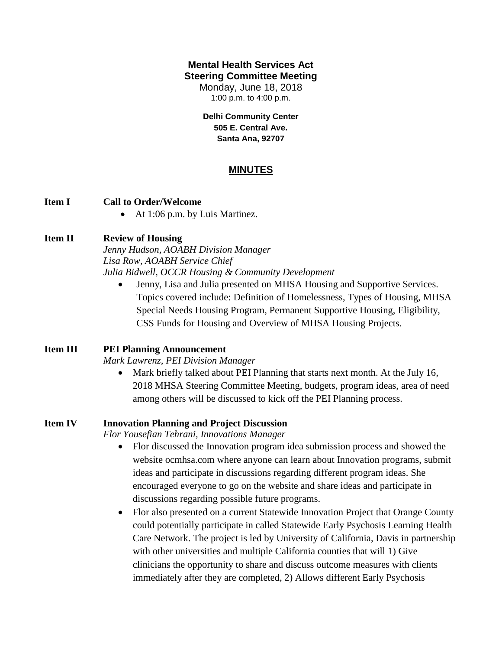## **Mental Health Services Act Steering Committee Meeting**

Monday, June 18, 2018 1:00 p.m. to 4:00 p.m.

**Delhi Community Center 505 E. Central Ave. Santa Ana, 92707**

# **MINUTES**

#### **Item I Call to Order/Welcome**

• At 1:06 p.m. by Luis Martinez.

#### **Item II Review of Housing**

*Jenny Hudson, AOABH Division Manager Lisa Row, AOABH Service Chief Julia Bidwell, OCCR Housing & Community Development*

 Jenny, Lisa and Julia presented on MHSA Housing and Supportive Services. Topics covered include: Definition of Homelessness, Types of Housing, MHSA Special Needs Housing Program, Permanent Supportive Housing, Eligibility, CSS Funds for Housing and Overview of MHSA Housing Projects.

#### **Item III PEI Planning Announcement**

*Mark Lawrenz, PEI Division Manager*

 Mark briefly talked about PEI Planning that starts next month. At the July 16, 2018 MHSA Steering Committee Meeting, budgets, program ideas, area of need among others will be discussed to kick off the PEI Planning process.

#### **Item IV Innovation Planning and Project Discussion**

*Flor Yousefian Tehrani, Innovations Manager*

- Flor discussed the Innovation program idea submission process and showed the website ocmhsa.com where anyone can learn about Innovation programs, submit ideas and participate in discussions regarding different program ideas. She encouraged everyone to go on the website and share ideas and participate in discussions regarding possible future programs.
- Flor also presented on a current Statewide Innovation Project that Orange County could potentially participate in called Statewide Early Psychosis Learning Health Care Network. The project is led by University of California, Davis in partnership with other universities and multiple California counties that will 1) Give clinicians the opportunity to share and discuss outcome measures with clients immediately after they are completed, 2) Allows different Early Psychosis